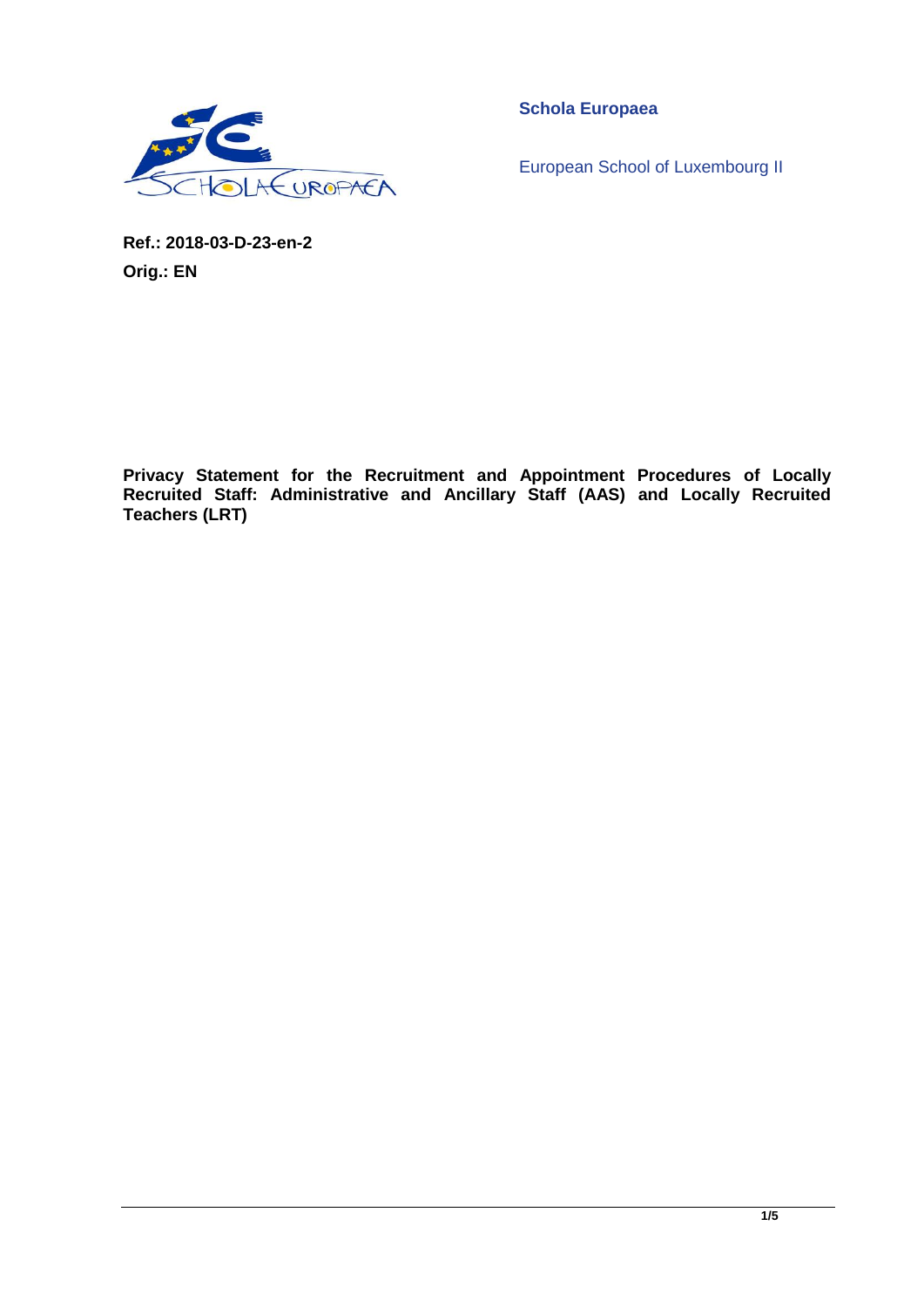

**Schola Europaea**

European School of Luxembourg II

**Ref.: 2018-03-D-23-en-2 Orig.: EN**

**Privacy Statement for the Recruitment and Appointment Procedures of Locally Recruited Staff: Administrative and Ancillary Staff (AAS) and Locally Recruited Teachers (LRT)**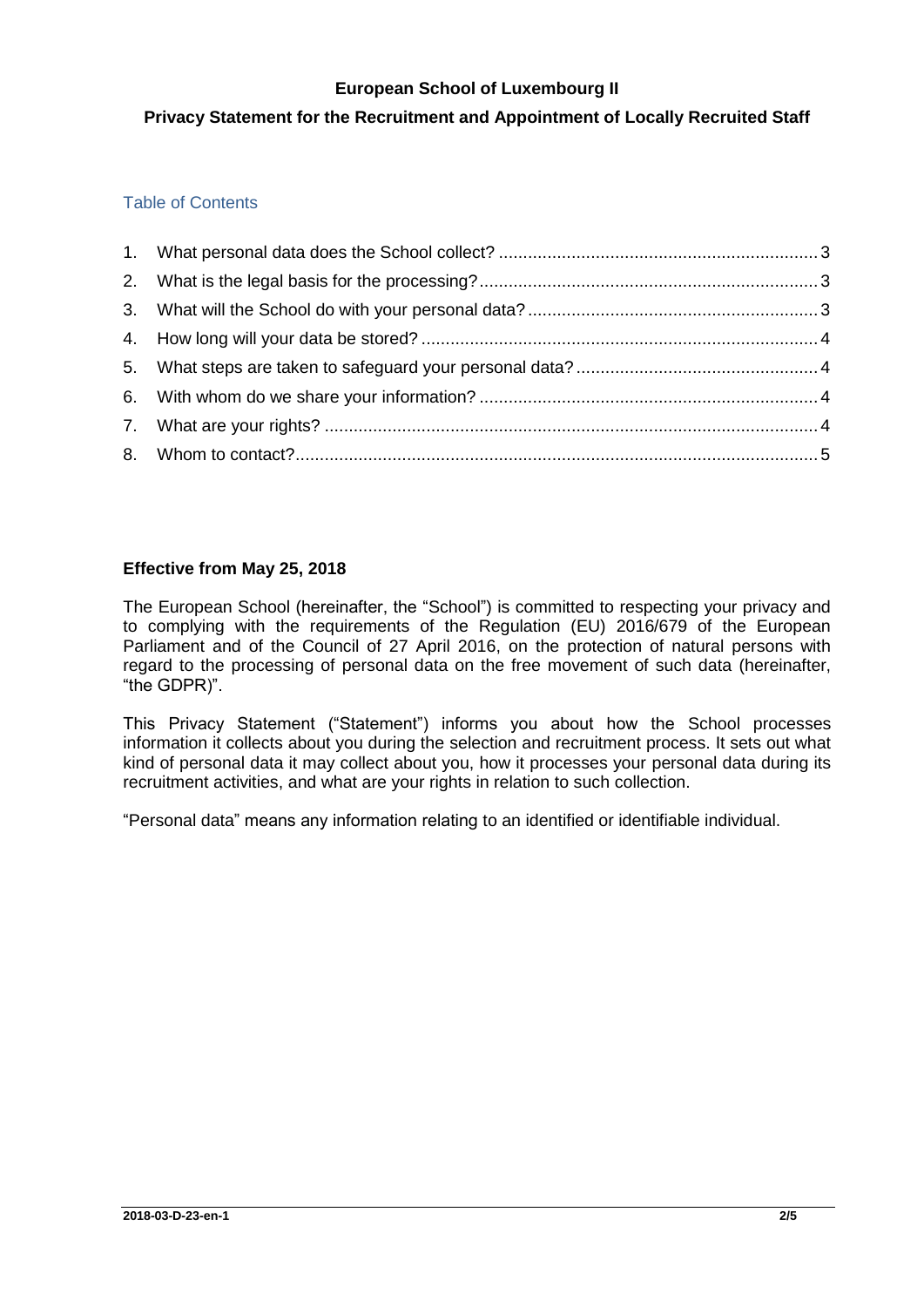### **European School of Luxembourg II**

# **Privacy Statement for the Recruitment and Appointment of Locally Recruited Staff**

## Table of Contents

## **Effective from May 25, 2018**

The European School (hereinafter, the "School") is committed to respecting your privacy and to complying with the requirements of the Regulation (EU) 2016/679 of the European Parliament and of the Council of 27 April 2016, on the protection of natural persons with regard to the processing of personal data on the free movement of such data (hereinafter, "the GDPR)".

This Privacy Statement ("Statement") informs you about how the School processes information it collects about you during the selection and recruitment process. It sets out what kind of personal data it may collect about you, how it processes your personal data during its recruitment activities, and what are your rights in relation to such collection.

"Personal data" means any information relating to an identified or identifiable individual.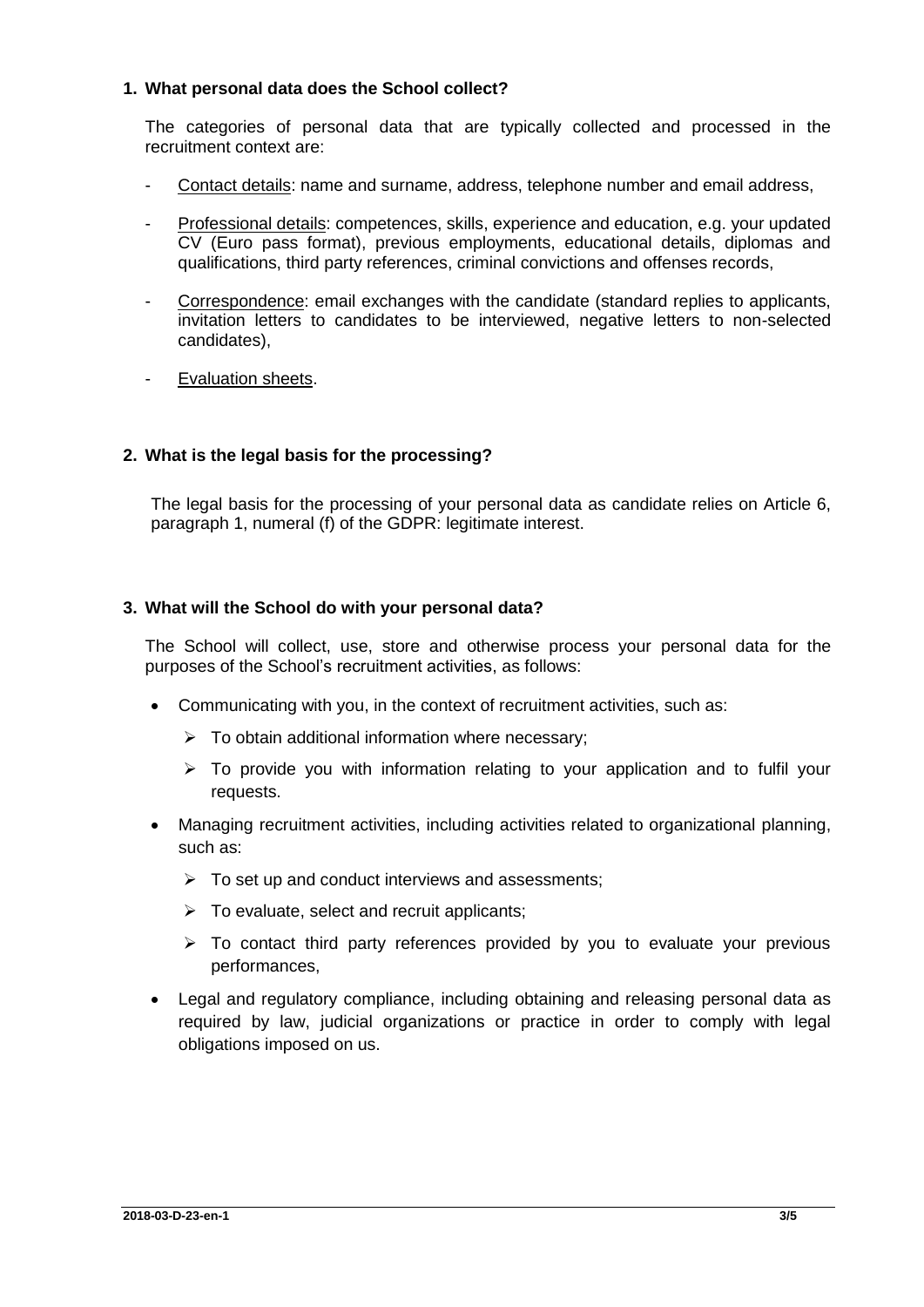### <span id="page-2-0"></span>**1. What personal data does the School collect?**

The categories of personal data that are typically collected and processed in the recruitment context are:

- Contact details: name and surname, address, telephone number and email address,
- Professional details: competences, skills, experience and education, e.g. your updated CV (Euro pass format), previous employments, educational details, diplomas and qualifications, third party references, criminal convictions and offenses records,
- Correspondence: email exchanges with the candidate (standard replies to applicants, invitation letters to candidates to be interviewed, negative letters to non-selected candidates),
- Evaluation sheets.

## <span id="page-2-1"></span>**2. What is the legal basis for the processing?**

The legal basis for the processing of your personal data as candidate relies on Article 6, paragraph 1, numeral (f) of the GDPR: legitimate interest.

#### <span id="page-2-2"></span>**3. What will the School do with your personal data?**

The School will collect, use, store and otherwise process your personal data for the purposes of the School's recruitment activities, as follows:

- Communicating with you, in the context of recruitment activities, such as:
	- $\triangleright$  To obtain additional information where necessary;
	- $\triangleright$  To provide you with information relating to your application and to fulfil your requests.
- Managing recruitment activities, including activities related to organizational planning, such as:
	- $\triangleright$  To set up and conduct interviews and assessments;
	- $\triangleright$  To evaluate, select and recruit applicants;
	- $\triangleright$  To contact third party references provided by you to evaluate your previous performances,
- Legal and regulatory compliance, including obtaining and releasing personal data as required by law, judicial organizations or practice in order to comply with legal obligations imposed on us.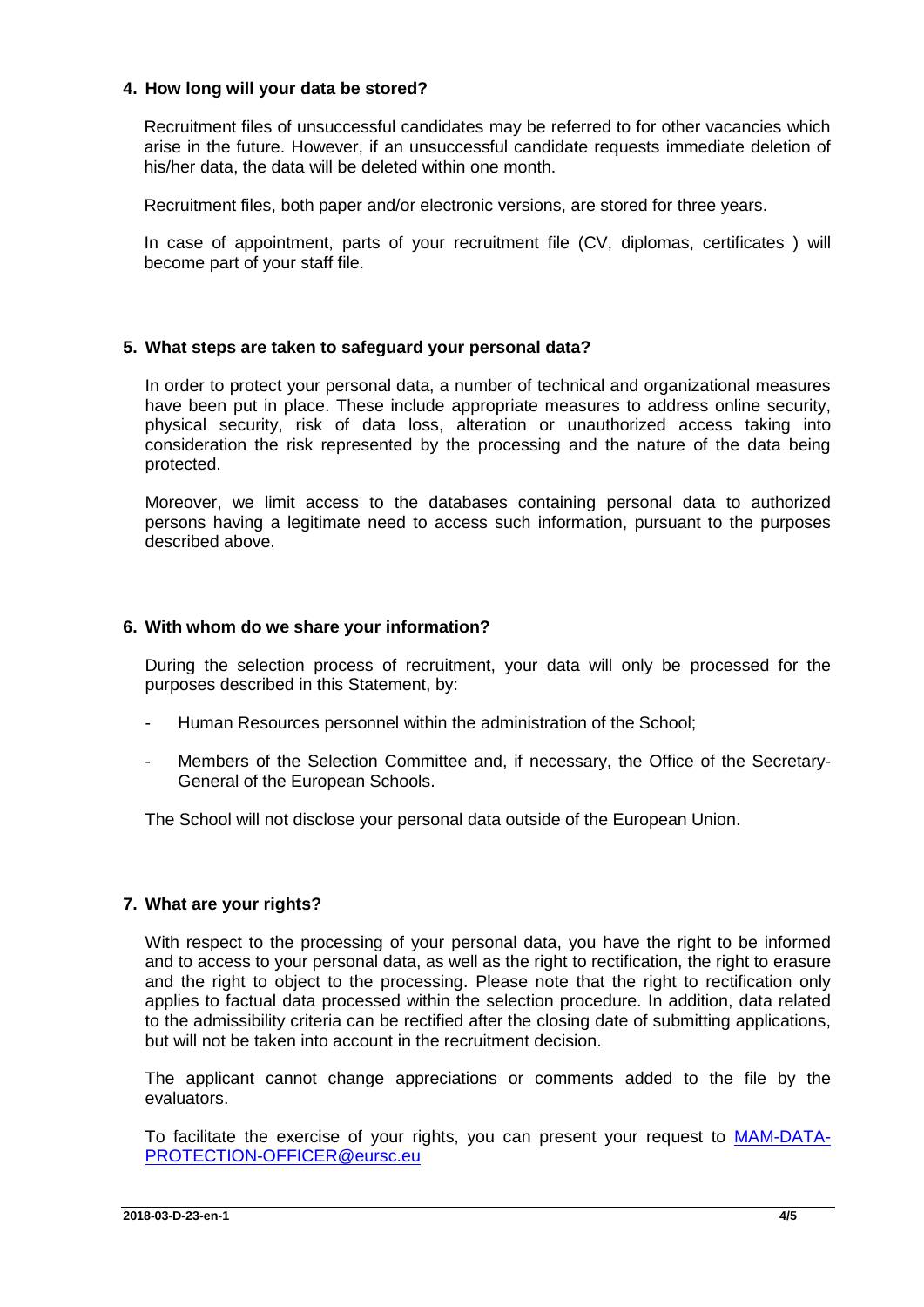#### <span id="page-3-1"></span><span id="page-3-0"></span>**4. How long will your data be stored?**

Recruitment files of unsuccessful candidates may be referred to for other vacancies which arise in the future. However, if an unsuccessful candidate requests immediate deletion of his/her data, the data will be deleted within one month.

Recruitment files, both paper and/or electronic versions, are stored for three years.

In case of appointment, parts of your recruitment file (CV, diplomas, certificates ) will become part of your staff file.

### **5. What steps are taken to safeguard your personal data?**

In order to protect your personal data, a number of technical and organizational measures have been put in place. These include appropriate measures to address online security, physical security, risk of data loss, alteration or unauthorized access taking into consideration the risk represented by the processing and the nature of the data being protected.

Moreover, we limit access to the databases containing personal data to authorized persons having a legitimate need to access such information, pursuant to the purposes described above.

### <span id="page-3-2"></span>**6. With whom do we share your information?**

During the selection process of recruitment, your data will only be processed for the purposes described in this Statement, by:

- Human Resources personnel within the administration of the School:
- Members of the Selection Committee and, if necessary, the Office of the Secretary-General of the European Schools.

The School will not disclose your personal data outside of the European Union.

## <span id="page-3-3"></span>**7. What are your rights?**

With respect to the processing of your personal data, you have the right to be informed and to access to your personal data, as well as the right to rectification, the right to erasure and the right to object to the processing. Please note that the right to rectification only applies to factual data processed within the selection procedure. In addition, data related to the admissibility criteria can be rectified after the closing date of submitting applications, but will not be taken into account in the recruitment decision.

The applicant cannot change appreciations or comments added to the file by the evaluators.

To facilitate the exercise of your rights, you can present your request to [MAM-DATA-](mailto:MAM-DATA-PROTECTION-OFFICER@eursc.eu)[PROTECTION-OFFICER@eursc.eu](mailto:MAM-DATA-PROTECTION-OFFICER@eursc.eu)